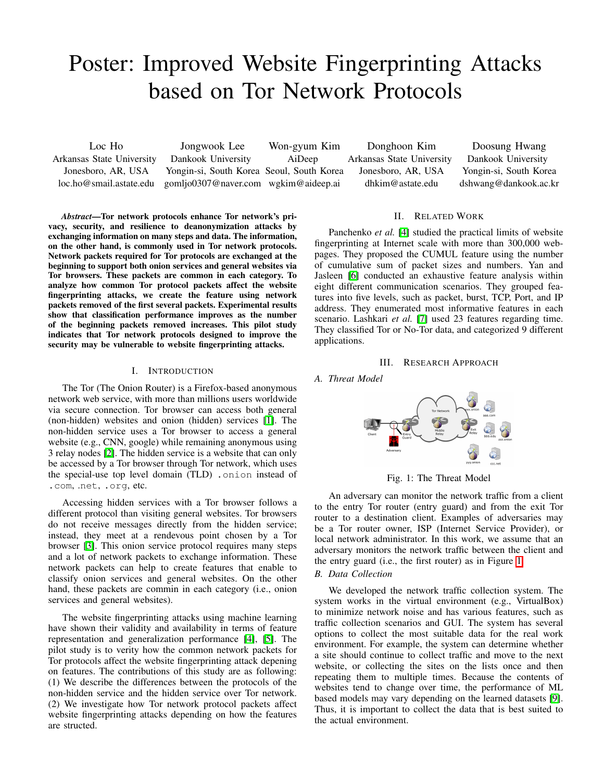# Poster: Improved Website Fingerprinting Attacks based on Tor Network Protocols

Loc Ho Arkansas State University Jonesboro, AR, USA loc.ho@smail.astate.edu Jongwook Lee Dankook University Yongin-si, South Korea Seoul, South Korea gomljo0307@naver.com wgkim@aideep.ai Won-gyum Kim AiDeep Donghoon Kim Arkansas State University Jonesboro, AR, USA dhkim@astate.edu Doosung Hwang Dankook University Yongin-si, South Korea dshwang@dankook.ac.kr

*Abstract*—Tor network protocols enhance Tor network's privacy, security, and resilience to deanonymization attacks by exchanging information on many steps and data. The information, on the other hand, is commonly used in Tor network protocols. Network packets required for Tor protocols are exchanged at the beginning to support both onion services and general websites via Tor browsers. These packets are common in each category. To analyze how common Tor protocol packets affect the website fingerprinting attacks, we create the feature using network packets removed of the first several packets. Experimental results show that classification performance improves as the number of the beginning packets removed increases. This pilot study indicates that Tor network protocols designed to improve the security may be vulnerable to website fingerprinting attacks.

### I. INTRODUCTION

The Tor (The Onion Router) is a Firefox-based anonymous network web service, with more than millions users worldwide via secure connection. Tor browser can access both general (non-hidden) websites and onion (hidden) services  $\Box$ . The non-hidden service uses a Tor browser to access a general website (e.g., CNN, google) while remaining anonymous using 3 relay nodes  $[2]$ . The hidden service is a website that can only be accessed by a Tor browser through Tor network, which uses the special-use top level domain (TLD) .onion instead of .com, .net, .org, etc.

Accessing hidden services with a Tor browser follows a different protocol than visiting general websites. Tor browsers do not receive messages directly from the hidden service; instead, they meet at a rendevous point chosen by a Tor browser  $\left[\frac{3}{2}\right]$ . This onion service protocol requires many steps and a lot of network packets to exchange information. These network packets can help to create features that enable to classify onion services and general websites. On the other hand, these packets are commin in each category (i.e., onion services and general websites).

The website fingerprinting attacks using machine learning have shown their validity and availability in terms of feature representation and generalization performance  $[4]$ ,  $[5]$ . The pilot study is to verity how the common network packets for Tor protocols affect the website fingerprinting attack depening on features. The contributions of this study are as following: (1) We describe the differences between the protocols of the non-hidden service and the hidden service over Tor network. (2) We investigate how Tor network protocol packets affect website fingerprinting attacks depending on how the features are structed.

# II. RELATED WORK

Panchenko *et al.* [4] studied the practical limits of website fingerprinting at Internet scale with more than 300,000 webpages. They proposed the CUMUL feature using the number of cumulative sum of packet sizes and numbers. Yan and Jasleen **6** conducted an exhaustive feature analysis within eight different communication scenarios. They grouped features into five levels, such as packet, burst, TCP, Port, and IP address. They enumerated most informative features in each scenario. Lashkari *et al.* [7] used 23 features regarding time. They classified Tor or No-Tor data, and categorized 9 different applications.

## III. RESEARCH APPROACH

# *A. Threat Model*



Fig. 1: The Threat Model

An adversary can monitor the network traffic from a client to the entry Tor router (entry guard) and from the exit Tor router to a destination client. Examples of adversaries may be a Tor router owner, ISP (Internet Service Provider), or local network administrator. In this work, we assume that an adversary monitors the network traffic between the client and the entry guard (i.e., the first router) as in Figure  $\prod$ .

#### *B. Data Collection*

We developed the network traffic collection system. The system works in the virtual environment (e.g., VirtualBox) to minimize network noise and has various features, such as traffic collection scenarios and GUI. The system has several options to collect the most suitable data for the real work environment. For example, the system can determine whether a site should continue to collect traffic and move to the next website, or collecting the sites on the lists once and then repeating them to multiple times. Because the contents of websites tend to change over time, the performance of ML based models may vary depending on the learned datasets [9]. Thus, it is important to collect the data that is best suited to the actual environment.